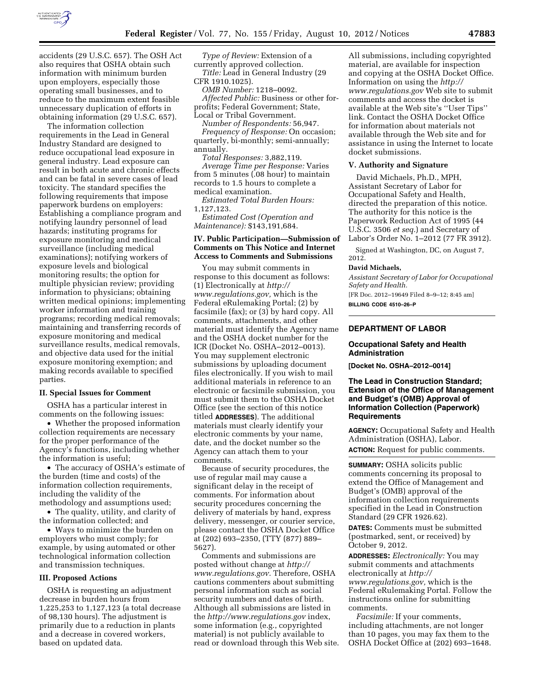

accidents (29 U.S.C. 657). The OSH Act also requires that OSHA obtain such information with minimum burden upon employers, especially those operating small businesses, and to reduce to the maximum extent feasible unnecessary duplication of efforts in obtaining information (29 U.S.C. 657).

The information collection requirements in the Lead in General Industry Standard are designed to reduce occupational lead exposure in general industry. Lead exposure can result in both acute and chronic effects and can be fatal in severe cases of lead toxicity. The standard specifies the following requirements that impose paperwork burdens on employers: Establishing a compliance program and notifying laundry personnel of lead hazards; instituting programs for exposure monitoring and medical surveillance (including medical examinations); notifying workers of exposure levels and biological monitoring results; the option for multiple physician review; providing information to physicians; obtaining written medical opinions; implementing worker information and training programs; recording medical removals; maintaining and transferring records of exposure monitoring and medical surveillance results, medical removals, and objective data used for the initial exposure monitoring exemption; and making records available to specified parties.

## **II. Special Issues for Comment**

OSHA has a particular interest in comments on the following issues:

• Whether the proposed information collection requirements are necessary for the proper performance of the Agency's functions, including whether the information is useful;

• The accuracy of OSHA's estimate of the burden (time and costs) of the information collection requirements, including the validity of the methodology and assumptions used;

• The quality, utility, and clarity of the information collected; and

• Ways to minimize the burden on employers who must comply; for example, by using automated or other technological information collection and transmission techniques.

#### **III. Proposed Actions**

OSHA is requesting an adjustment decrease in burden hours from 1,225,253 to 1,127,123 (a total decrease of 98,130 hours). The adjustment is primarily due to a reduction in plants and a decrease in covered workers, based on updated data.

*Type of Review:* Extension of a currently approved collection. *Title:* Lead in General Industry (29 CFR 1910.1025).

*OMB Number:* 1218–0092. *Affected Public:* Business or other forprofits; Federal Government; State, Local or Tribal Government.

*Number of Respondents:* 56,947. *Frequency of Response:* On occasion; quarterly, bi-monthly; semi-annually; annually.

*Total Responses:* 3,882,119. *Average Time per Response:* Varies from 5 minutes (.08 hour) to maintain records to 1.5 hours to complete a medical examination.

*Estimated Total Burden Hours:*  1,127,123.

*Estimated Cost (Operation and Maintenance):* \$143,191,684.

## **IV. Public Participation—Submission of Comments on This Notice and Internet Access to Comments and Submissions**

You may submit comments in response to this document as follows: (1) Electronically at *[http://](http://www.regulations.gov)  [www.regulations.gov,](http://www.regulations.gov)* which is the Federal eRulemaking Portal; (2) by facsimile (fax); or (3) by hard copy. All comments, attachments, and other material must identify the Agency name and the OSHA docket number for the ICR (Docket No. OSHA–2012–0013). You may supplement electronic submissions by uploading document files electronically. If you wish to mail additional materials in reference to an electronic or facsimile submission, you must submit them to the OSHA Docket Office (see the section of this notice titled **ADDRESSES**). The additional materials must clearly identify your electronic comments by your name, date, and the docket number so the Agency can attach them to your comments.

Because of security procedures, the use of regular mail may cause a significant delay in the receipt of comments. For information about security procedures concerning the delivery of materials by hand, express delivery, messenger, or courier service, please contact the OSHA Docket Office at (202) 693–2350, (TTY (877) 889– 5627).

Comments and submissions are posted without change at *[http://](http://www.regulations.gov)  [www.regulations.gov.](http://www.regulations.gov)* Therefore, OSHA cautions commenters about submitting personal information such as social security numbers and dates of birth. Although all submissions are listed in the *<http://www.regulations.gov>*index, some information (e.g., copyrighted material) is not publicly available to read or download through this Web site.

All submissions, including copyrighted material, are available for inspection and copying at the OSHA Docket Office. Information on using the *[http://](http://www.regulations.gov) [www.regulations.gov](http://www.regulations.gov)* Web site to submit comments and access the docket is available at the Web site's ''User Tips'' link. Contact the OSHA Docket Office for information about materials not available through the Web site and for assistance in using the Internet to locate docket submissions.

#### **V. Authority and Signature**

David Michaels, Ph.D., MPH, Assistant Secretary of Labor for Occupational Safety and Health, directed the preparation of this notice. The authority for this notice is the Paperwork Reduction Act of 1995 (44 U.S.C. 3506 *et seq.*) and Secretary of Labor's Order No. 1–2012 (77 FR 3912).

Signed at Washington, DC, on August 7, 2012.

#### **David Michaels,**

*Assistant Secretary of Labor for Occupational Safety and Health.* 

[FR Doc. 2012–19649 Filed 8–9–12; 8:45 am] **BILLING CODE 4510–26–P** 

# **DEPARTMENT OF LABOR**

## **Occupational Safety and Health Administration**

**[Docket No. OSHA–2012–0014]** 

## **The Lead in Construction Standard; Extension of the Office of Management and Budget's (OMB) Approval of Information Collection (Paperwork) Requirements**

**AGENCY:** Occupational Safety and Health Administration (OSHA), Labor. **ACTION:** Request for public comments.

**SUMMARY:** OSHA solicits public comments concerning its proposal to extend the Office of Management and Budget's (OMB) approval of the information collection requirements specified in the Lead in Construction Standard (29 CFR 1926.62).

**DATES:** Comments must be submitted (postmarked, sent, or received) by October 9, 2012.

**ADDRESSES:** *Electronically:* You may submit comments and attachments electronically at *[http://](http://www.regulations.gov) [www.regulations.gov,](http://www.regulations.gov)* which is the Federal eRulemaking Portal. Follow the instructions online for submitting comments.

*Facsimile:* If your comments, including attachments, are not longer than 10 pages, you may fax them to the OSHA Docket Office at (202) 693–1648.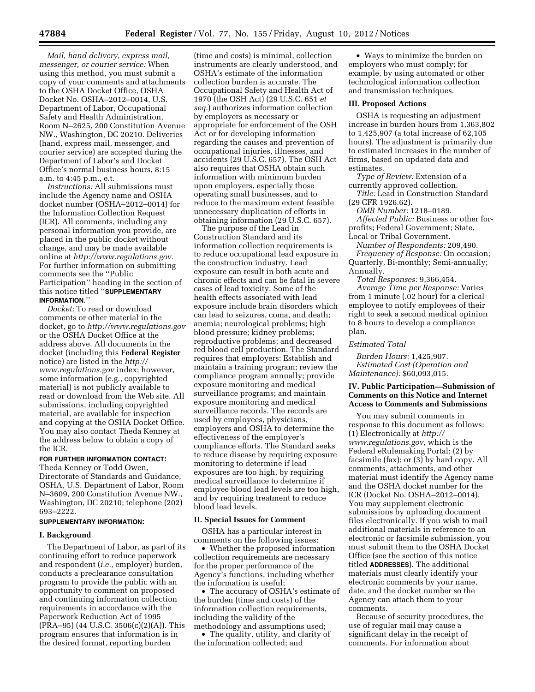*Mail, hand delivery, express mail, messenger, or courier service:* When using this method, you must submit a copy of your comments and attachments to the OSHA Docket Office, OSHA Docket No. OSHA–2012–0014, U.S. Department of Labor, Occupational Safety and Health Administration, Room N–2625, 200 Constitution Avenue NW., Washington, DC 20210. Deliveries (hand, express mail, messenger, and courier service) are accepted during the Department of Labor's and Docket Office's normal business hours, 8:15 a.m. to 4:45 p.m., e.t.

*Instructions:* All submissions must include the Agency name and OSHA docket number (OSHA–2012–0014) for the Information Collection Request (ICR). All comments, including any personal information you provide, are placed in the public docket without change, and may be made available online at *[http://www.regulations.gov.](http://www.regulations.gov)*  For further information on submitting comments see the ''Public Participation'' heading in the section of this notice titled ''**SUPPLEMENTARY INFORMATION**.''

*Docket:* To read or download comments or other material in the docket, go to *<http://www.regulations.gov>*  or the OSHA Docket Office at the address above. All documents in the docket (including this **Federal Register**  notice) are listed in the *[http://](http://www.regulations.gov) [www.regulations.gov](http://www.regulations.gov)* index; however, some information (e.g., copyrighted material) is not publicly available to read or download from the Web site. All submissions, including copyrighted material, are available for inspection and copying at the OSHA Docket Office. You may also contact Theda Kenney at the address below to obtain a copy of the ICR.

## **FOR FURTHER INFORMATION CONTACT:**

Theda Kenney or Todd Owen, Directorate of Standards and Guidance, OSHA, U.S. Department of Labor, Room N–3609, 200 Constitution Avenue NW., Washington, DC 20210; telephone (202) 693–2222.

## **SUPPLEMENTARY INFORMATION:**

## **I. Background**

The Department of Labor, as part of its continuing effort to reduce paperwork and respondent (*i.e.,* employer) burden, conducts a preclearance consultation program to provide the public with an opportunity to comment on proposed and continuing information collection requirements in accordance with the Paperwork Reduction Act of 1995  $(PRA-95)$  (44 U.S.C. 3506(c)(2)(A)). This program ensures that information is in the desired format, reporting burden

(time and costs) is minimal, collection instruments are clearly understood, and OSHA's estimate of the information collection burden is accurate. The Occupational Safety and Health Act of 1970 (the OSH Act) (29 U.S.C. 651 *et seq.*) authorizes information collection by employers as necessary or appropriate for enforcement of the OSH Act or for developing information regarding the causes and prevention of occupational injuries, illnesses, and accidents (29 U.S.C. 657). The OSH Act also requires that OSHA obtain such information with minimum burden upon employers, especially those operating small businesses, and to reduce to the maximum extent feasible unnecessary duplication of efforts in obtaining information (29 U.S.C. 657).

The purpose of the Lead in Construction Standard and its information collection requirements is to reduce occupational lead exposure in the construction industry. Lead exposure can result in both acute and chronic effects and can be fatal in severe cases of lead toxicity. Some of the health effects associated with lead exposure include brain disorders which can lead to seizures, coma, and death; anemia; neurological problems; high blood pressure; kidney problems; reproductive problems; and decreased red blood cell production. The Standard requires that employers: Establish and maintain a training program; review the compliance program annually; provide exposure monitoring and medical surveillance programs; and maintain exposure monitoring and medical surveillance records. The records are used by employees, physicians, employers and OSHA to determine the effectiveness of the employer's compliance efforts. The Standard seeks to reduce disease by requiring exposure monitoring to determine if lead exposures are too high, by requiring medical surveillance to determine if employee blood lead levels are too high, and by requiring treatment to reduce blood lead levels.

#### **II. Special Issues for Comment**

OSHA has a particular interest in comments on the following issues:

• Whether the proposed information collection requirements are necessary for the proper performance of the Agency's functions, including whether the information is useful;

• The accuracy of OSHA's estimate of the burden (time and costs) of the information collection requirements, including the validity of the

methodology and assumptions used; • The quality, utility, and clarity of

the information collected; and

• Ways to minimize the burden on employers who must comply; for example, by using automated or other technological information collection and transmission techniques.

## **III. Proposed Actions**

OSHA is requesting an adjustment increase in burden hours from 1,363,802 to 1,425,907 (a total increase of 62,105 hours). The adjustment is primarily due to estimated increases in the number of firms, based on updated data and estimates.

*Type of Review:* Extension of a currently approved collection.

*Title:* Lead in Construction Standard (29 CFR 1926.62).

*OMB Number:* 1218–0189.

*Affected Public:* Business or other forprofits; Federal Government; State, Local or Tribal Government.

*Number of Respondents:* 209,490. *Frequency of Response:* On occasion; Quarterly, Bi-monthly; Semi-annually; Annually.

*Total Responses:* 9,366,454. *Average Time per Response:* Varies from 1 minute (.02 hour) for a clerical employee to notify employees of their right to seek a second medical opinion to 8 hours to develop a compliance plan.

### *Estimated Total*

*Burden Hours:* 1,425,907. *Estimated Cost (Operation and Maintenance):* \$60,093,015.

## **IV. Public Participation—Submission of Comments on this Notice and Internet Access to Comments and Submissions**

You may submit comments in response to this document as follows: (1) Electronically at *[http://](http://www.regulations.gov)  [www.regulations.gov,](http://www.regulations.gov)* which is the Federal eRulemaking Portal; (2) by facsimile (fax); or (3) by hard copy. All comments, attachments, and other material must identify the Agency name and the OSHA docket number for the ICR (Docket No. OSHA–2012–0014). You may supplement electronic submissions by uploading document files electronically. If you wish to mail additional materials in reference to an electronic or facsimile submission, you must submit them to the OSHA Docket Office (see the section of this notice titled **ADDRESSES**). The additional materials must clearly identify your electronic comments by your name, date, and the docket number so the Agency can attach them to your comments.

Because of security procedures, the use of regular mail may cause a significant delay in the receipt of comments. For information about